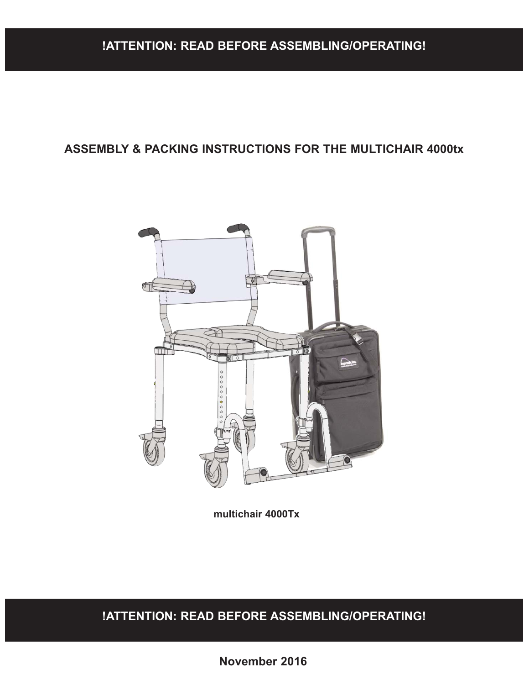## **!ATTENTION: READ BEFORE ASSEMBLING/OPERATING!**

### **ASSEMBLY & PACKING INSTRUCTIONS FOR THE MULTICHAIR 4000tx**



**multichair 4000Tx**

**!ATTENTION: READ BEFORE ASSEMBLING/OPERATING!**

**November 2016**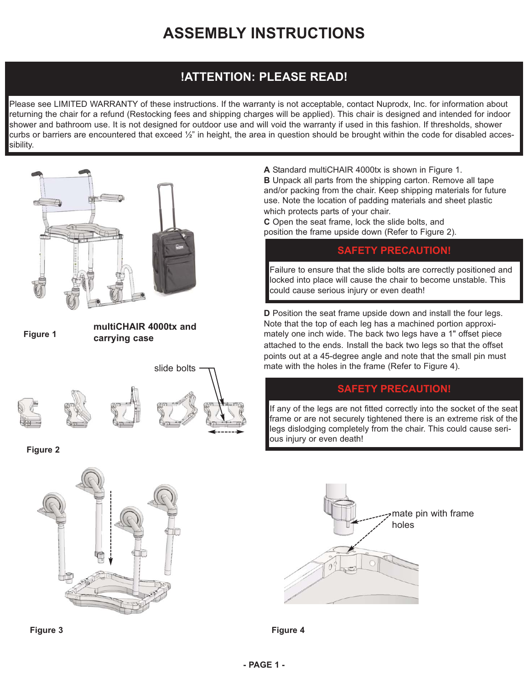# **ASSEMBLY INSTRUCTIONS**

## **!ATTENTION: PLEASE READ!**

Please see LIMITED WARRANTY of these instructions. If the warranty is not acceptable, contact Nuprodx, Inc. for information about returning the chair for a refund (Restocking fees and shipping charges will be applied). This chair is designed and intended for indoor shower and bathroom use. It is not designed for outdoor use and will void the warranty if used in this fashion. If thresholds, shower curbs or barriers are encountered that exceed  $\frac{1}{2}$ " in height, the area in question should be brought within the code for disabled accessibility.



**Figure 3**

**A** Standard multiCHAIR 4000tx is shown in Figure 1. **B** Unpack all parts from the shipping carton. Remove all tape and/or packing from the chair. Keep shipping materials for future use. Note the location of padding materials and sheet plastic which protects parts of your chair.

**C** Open the seat frame, lock the slide bolts, and position the frame upside down (Refer to Figure 2).

### **SAFETY PRECAUTION!**

Failure to ensure that the slide bolts are correctly positioned and locked into place will cause the chair to become unstable. This could cause serious injury or even death!

**D** Position the seat frame upside down and install the four legs. Note that the top of each leg has a machined portion approximately one inch wide. The back two legs have a 1" offset piece attached to the ends. Install the back two legs so that the offset points out at a 45-degree angle and note that the small pin must mate with the holes in the frame (Refer to Figure 4).

### **SAFETY PRECAUTION!**

If any of the legs are not fitted correctly into the socket of the seat frame or are not securely tightened there is an extreme risk of the legs dislodging completely from the chair. This could cause serious injury or even death!



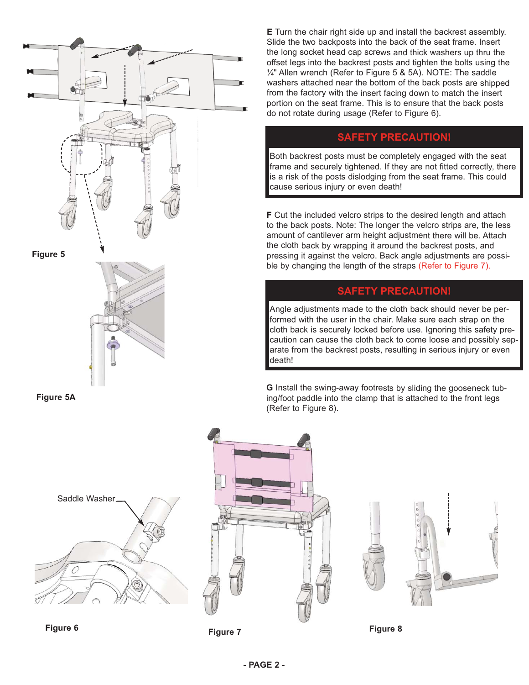

**Figure 5A**



**Figure 6**



**Figure 7 Figure 8**

**E** Turn the chair right side up and install the backrest assembly. Slide the two backposts into the back of the seat frame. Insert the long socket head cap screws and thick washers up thru the offset legs into the backrest posts and tighten the bolts using the ¼" Allen wrench (Refer to Figure 5 & 5A). NOTE: The saddle washers attached near the bottom of the back posts are shipped from the factory with the insert facing down to match the insert portion on the seat frame. This is to ensure that the back posts do not rotate during usage (Refer to Figure 6).

### **SAFETY PRECAUTION!**

Both backrest posts must be completely engaged with the seat frame and securely tightened. If they are not fitted correctly, there is a risk of the posts dislodging from the seat frame. This could cause serious injury or even death!

**F** Cut the included velcro strips to the desired length and attach to the back posts. Note: The longer the velcro strips are, the less amount of cantilever arm height adjustment there will be. Attach the cloth back by wrapping it around the backrest posts, and pressing it against the velcro. Back angle adjustments are possible by changing the length of the straps (Refer to Figure 7).

### **SAFETY PRECAUTION!**

Angle adjustments made to the cloth back should never be performed with the user in the chair. Make sure each strap on the cloth back is securely locked before use. Ignoring this safety precaution can cause the cloth back to come loose and possibly separate from the backrest posts, resulting in serious injury or even death!

**G** Install the swing-away footrests by sliding the gooseneck tubing/foot paddle into the clamp that is attached to the front legs (Refer to Figure 8).

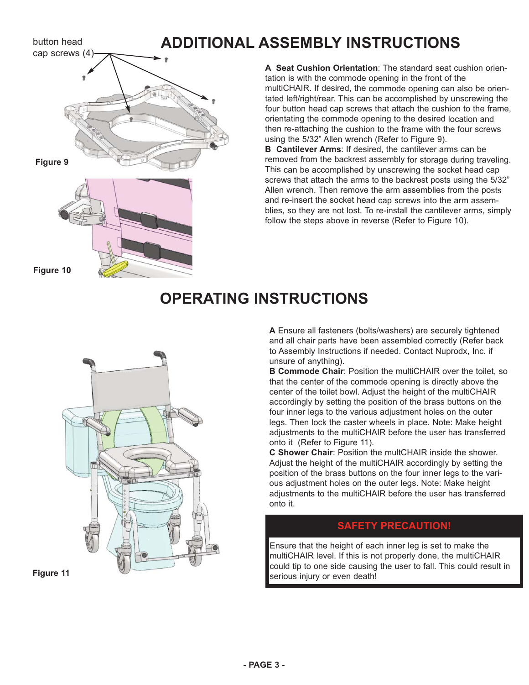### button head

cap screws (4)

# **Figure 9**

**A Seat Cushion Orientation**: The standard seat cushion orientation is with the commode opening in the front of the multiCHAIR. If desired, the commode opening can also be orientated left/right/rear. This can be accomplished by unscrewing the four button head cap screws that attach the cushion to the frame, orientating the commode opening to the desired location and then re-attaching the cushion to the frame with the four screws using the 5/32" Allen wrench (Refer to Figure 9).

**ADDITIONAL ASSEMBLY INSTRUCTIONS**

**B Cantilever Arms**: If desired, the cantilever arms can be removed from the backrest assembly for storage during traveling. This can be accomplished by unscrewing the socket head cap screws that attach the arms to the backrest posts using the 5/32" Allen wrench. Then remove the arm assemblies from the posts and re-insert the socket head cap screws into the arm assemblies, so they are not lost. To re-install the cantilever arms, simply follow the steps above in reverse (Refer to Figure 10).

#### **Figure 10**

# **OPERATING INSTRUCTIONS**



**Figure 11**

**A** Ensure all fasteners (bolts/washers) are securely tightened and all chair parts have been assembled correctly (Refer back to Assembly Instructions if needed. Contact Nuprodx, Inc. if unsure of anything).

**B Commode Chair**: Position the multiCHAIR over the toilet, so that the center of the commode opening is directly above the center of the toilet bowl. Adjust the height of the multiCHAIR accordingly by setting the position of the brass buttons on the four inner legs to the various adjustment holes on the outer legs. Then lock the caster wheels in place. Note: Make height adjustments to the multiCHAIR before the user has transferred onto it (Refer to Figure 11).

**C Shower Chair**: Position the multCHAIR inside the shower. Adjust the height of the multiCHAIR accordingly by setting the position of the brass buttons on the four inner legs to the various adjustment holes on the outer legs. Note: Make height adjustments to the multiCHAIR before the user has transferred onto it.

### **SAFETY PRECAUTION!**

Ensure that the height of each inner leg is set to make the multiCHAIR level. If this is not properly done, the multiCHAIR could tip to one side causing the user to fall. This could result in serious injury or even death!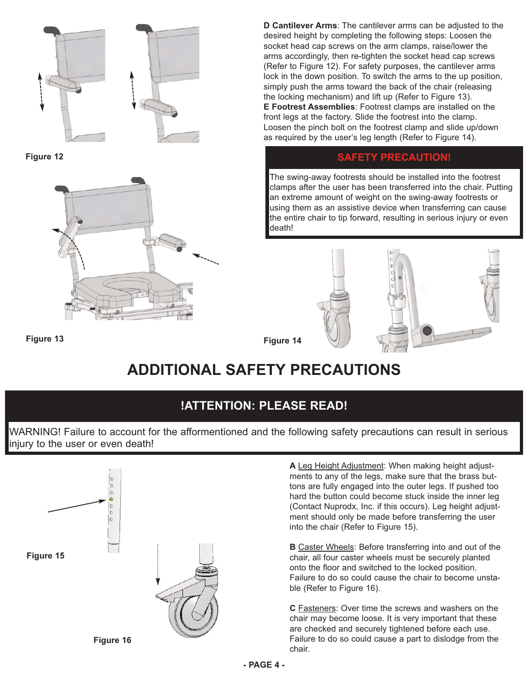

**Figure 12**



**D Cantilever Arms**: The cantilever arms can be adjusted to the desired height by completing the following steps: Loosen the socket head cap screws on the arm clamps, raise/lower the arms accordingly, then re-tighten the socket head cap screws (Refer to Figure 12). For safety purposes, the cantilever arms lock in the down position. To switch the arms to the up position, simply push the arms toward the back of the chair (releasing the locking mechanism) and lift up (Refer to Figure 13). **E Footrest Assemblies**: Footrest clamps are installed on the front legs at the factory. Slide the footrest into the clamp. Loosen the pinch bolt on the footrest clamp and slide up/down as required by the user's leg length (Refer to Figure 14).

### **SAFETY PRECAUTION!**

The swing-away footrests should be installed into the footrest clamps after the user has been transferred into the chair. Putting an extreme amount of weight on the swing-away footrests or using them as an assistive device when transferring can cause the entire chair to tip forward, resulting in serious injury or even death!



**Figure 13**

**Figure 14**

# **ADDITIONAL SAFETY PRECAUTIONS**

## **!ATTENTION: PLEASE READ!**

WARNING! Failure to account for the afformentioned and the following safety precautions can result in serious injury to the user or even death!



**A** Leg Height Adjustment: When making height adjustments to any of the legs, make sure that the brass buttons are fully engaged into the outer legs. If pushed too hard the button could become stuck inside the inner leg (Contact Nuprodx, Inc. if this occurs). Leg height adjustment should only be made before transferring the user into the chair (Refer to Figure 15).

**B** Caster Wheels: Before transferring into and out of the chair, all four caster wheels must be securely planted onto the floor and switched to the locked position. Failure to do so could cause the chair to become unstable (Refer to Figure 16).

**C** Fasteners: Over time the screws and washers on the chair may become loose. It is very important that these are checked and securely tightened before each use. Failure to do so could cause a part to dislodge from the chair.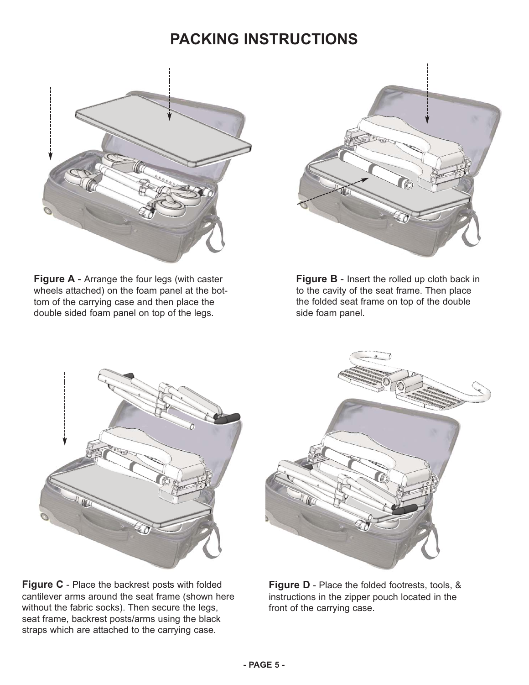# **PACKING INSTRUCTIONS**



**Figure A** - Arrange the four legs (with caster wheels attached) on the foam panel at the bottom of the carrying case and then place the double sided foam panel on top of the legs.



**Figure B**- Insert the rolled up cloth back in to the cavity of the seat frame. Then place the folded seat frame on top of the double side foam panel.



**Figure C**- Place the backrest posts with folded cantilever arms around the seat frame (shown here without the fabric socks). Then secure the legs, seat frame, backrest posts/arms using the black straps which are attached to the carrying case.



**Figure D**- Place the folded footrests, tools, & instructions in the zipper pouch located in the front of the carrying case.